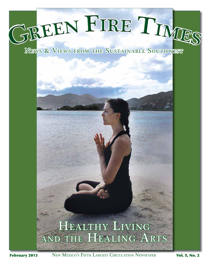

News & Views from the Sustainable Southwest

# HEALTHY LIVING and the Healing Arts

February 2013 New Mexico's FIFTH LARGEST CIRCULATION NEWSPAPER Vol. 5, No. 2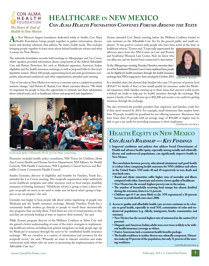

# **Healthca re in New Mexico** *Con Alma Health Foundation Convenes Forums Around the State*

**A**s New Mexico's largest foundation dedicated solely to health, Con Alma<br>Health Foundation brings people together to gather information, discuss<br>issues and develop solutions that address the state's health needs. This inc Health Foundation brings people together to gather information, discuss issues and develop solutions that address the state's health needs. This includes bringing people together to learn more about federal healthcare reform and what it means for New Mexico.

The statewide foundation recently held meetings in Albuquerque and Las Cruces, where speakers provided information about components of the federal Affordable Care and Patient Protection Act such as Medicaid expansion, American Indian eligibility and the health-insurance exchange, as well as proposed bills for this year's legislative session. About 100 people, representing local and state government, nonprofits, educational institutions and other organizations, attended each meeting.

"One of our roles in New Mexico is to serve as a convener and as a catalyst for positive, systemic change," said Dolores E. Roybal, Con Alma's executive director. "We think it's important for people to have the opportunity to network and share information about critical issues, such as healthcare reform and proposed state legislation."



Economist Kelly O'Donnell, Ph.D. at Con Alma convening

Presenters included health policy consultants, NM Voices for Children, Doña Ana County Health and Human Services Department, NM Alliance for Health Councils, NM Health Connections, NM Legislative Council Services and Bernalillo County Community Health Council.

Sandra Gonzales, director of eligibility and benefits for Families, Youth Inc., attended the Las Cruces meeting. Her nonprofit organization helps individuals access healthcare programs and other resources such as food stamps, disability insurance or heating assistance. "Healthcare reform is going to have a direct impact on people we serve, so we need to make sure we know what's going to happen so we can prepare," she said.

Gonzales was happy to hear people talk about online registering of people into Medicaid and the health insurance exchange. Already, Families, Youth Inc.'s community health workers go directly to people to enroll them electronically into programs that can help them. "I feel there are a lot of vested partners in this, and they are seriously looking at ways to improve their systems," she said.

Nikki Zeuner, program director of the Wellness Coalition in Silver City said she gained a better understanding of some of the state's strategies in implementing healthcare reform, including how patient navigators can help people sign-up for Medicaid or insurance through the soon-to-be -established health insurance exchange. "We see ourselves as a curator of information and resources for the nonprofit sector," she said. "Primarily we want to educate ourselves and make connections with others who are active in promoting the implementation of the Affordable Care Act."

Zeuner attended Con Alma's meeting before the Wellness Coalition hosted its own seminars on the Affordable Care Act for the general public and small employers. "It was good to connect with people who have been active in the state on

healthcare reform," Zeuner said. "I especially appreciated the advocacy piece from the NM Center on Law and Poverty and Southwest Women's Law Center. Now we know who our allies are, and we haven't been connected to that before."

At the Albuquerque meeting, Pamelya Herndon, executive director of the Southwest Women's Law Center, explained how people can be eligible for health insurance through the health-insurance exchange that NM is supposed to have running by October 2014. Dolores E. Roybal



In a detailed chart, she showed that families who earn 133 percent of poverty level (\$30,657 for family of four) or less would qualify for insurance under the Medicaid expansion, while families earning up to three times that amount could receive a federal tax credit to help pay for health insurance through the exchange. That means a family of four could earn up to \$92,200 and receive a tax credit for getting insurance through the exchange.

She also reviewed the possible penalties that employers and families could face if they aren't insured by 2014. For example, small businesses that employ fewer than 50 people wouldn't be penalized for not offering insurance. Businesses that have fewer than 25 people with an average wage of \$50,000 or higher may be able to get a tax credit for providing insurance to their employees.

continued on page 6

## **Health Equity in New Mexico** *Con Alma's Roadmap — Key Findings*

**1. Improved conditions and policies that address Social Determinants of Health and advance health equity, especially among racially and ethnically diverse and underserved populations, can significantly improve health in New Mexico.** 

**The correlation between poverty, educational attainment and good health is evident when comparing health outcomes for NM's children and others in the United States. NM ranks 48 and 49 respectively in teen death and teen birth rates.** 

- **Racial and ethnic minorities suffer higher rates of mortality and illness compared with other Americans and receive a lower quality of healthcare.**
- **NewMexico hasthe second-highest poverty rate in the nation.**
- **The number of households receiving food stamps has almost doubled during the recession, from 6 to 11 percent.**
- **Children ages 0–5 are more likely to die: NM experienced a 20-percent increase in youth death ratessince 2000.**
- **2. Access to quality and affordable health-care services continues to be a barrier to good health, especially in rural NM, communities of color and underserved populations (e.g. elderly, immigrants, border communities and veterans).** 
	- New Mexico has the second highest rate of uninsured in the nation (21.6 **percent).**
	- $\bullet$  Hispanic and American Indian adults were over twice as likely to be with**out health insurance coverage as whites.**
	- **Native Americanslack a consistent health benefits package.**
	- **Thehealthworkforce isneitherdiversenor culturally competent.Minorities make up 59 percent of the population, but only 11 percent of the nursing workforce.**  continued on PAGE 6